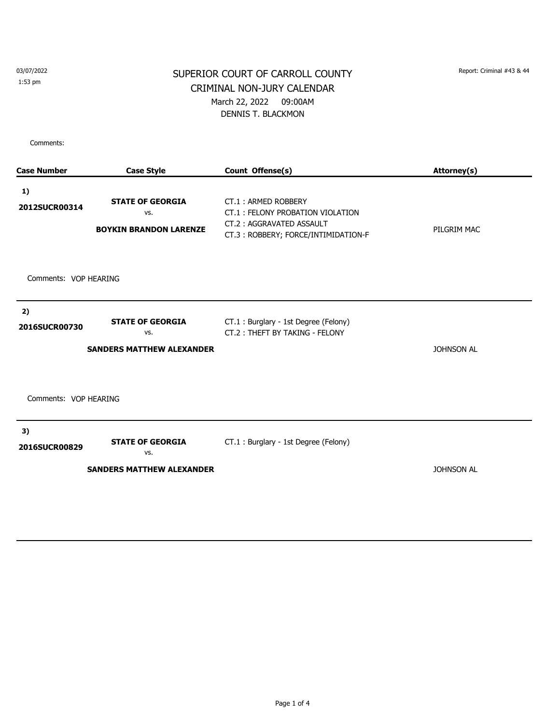03/07/2022 1:53 pm

## SUPERIOR COURT OF CARROLL COUNTY Report: Criminal #43 & 44 CRIMINAL NON-JURY CALENDAR March 22, 2022 09:00AM DENNIS T. BLACKMON

| <b>Case Number</b>               | <b>Case Style</b>                                               | Count Offense(s)                                                                                                           | Attorney(s)       |  |  |  |
|----------------------------------|-----------------------------------------------------------------|----------------------------------------------------------------------------------------------------------------------------|-------------------|--|--|--|
| 1)<br>2012SUCR00314              | <b>STATE OF GEORGIA</b><br>VS.<br><b>BOYKIN BRANDON LARENZE</b> | CT.1: ARMED ROBBERY<br>CT.1: FELONY PROBATION VIOLATION<br>CT.2: AGGRAVATED ASSAULT<br>CT.3: ROBBERY; FORCE/INTIMIDATION-F | PILGRIM MAC       |  |  |  |
| Comments: VOP HEARING            |                                                                 |                                                                                                                            |                   |  |  |  |
| 2)                               |                                                                 |                                                                                                                            |                   |  |  |  |
| 2016SUCR00730                    | <b>STATE OF GEORGIA</b><br>VS.                                  | CT.1 : Burglary - 1st Degree (Felony)<br>CT.2: THEFT BY TAKING - FELONY                                                    |                   |  |  |  |
|                                  | <b>SANDERS MATTHEW ALEXANDER</b>                                |                                                                                                                            | <b>JOHNSON AL</b> |  |  |  |
| Comments: VOP HEARING            |                                                                 |                                                                                                                            |                   |  |  |  |
| 3)                               |                                                                 |                                                                                                                            |                   |  |  |  |
| 2016SUCR00829                    | <b>STATE OF GEORGIA</b><br>VS.                                  | CT.1 : Burglary - 1st Degree (Felony)                                                                                      |                   |  |  |  |
| <b>SANDERS MATTHEW ALEXANDER</b> |                                                                 |                                                                                                                            | <b>JOHNSON AL</b> |  |  |  |
|                                  |                                                                 |                                                                                                                            |                   |  |  |  |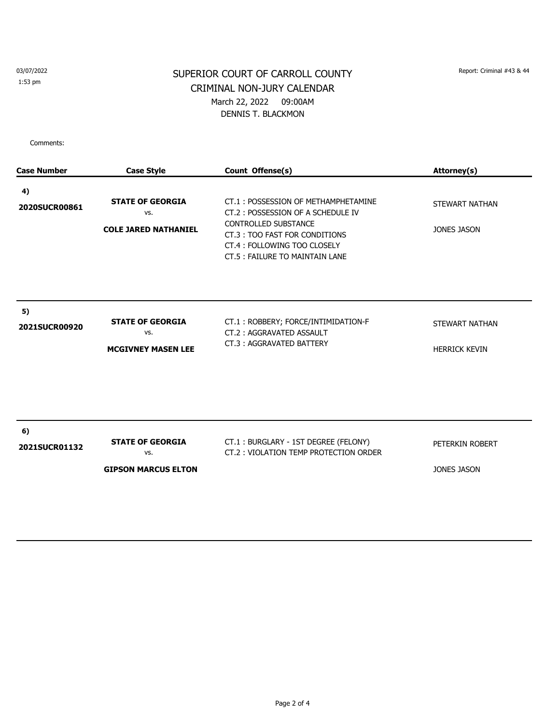03/07/2022

1:53 pm

## SUPERIOR COURT OF CARROLL COUNTY Report: Criminal #43 & 44 CRIMINAL NON-JURY CALENDAR March 22, 2022 09:00AM DENNIS T. BLACKMON

| <b>Case Number</b>  | <b>Case Style</b>                                             | Count Offense(s)                                                                                                                                                                                          | Attorney(s)                            |
|---------------------|---------------------------------------------------------------|-----------------------------------------------------------------------------------------------------------------------------------------------------------------------------------------------------------|----------------------------------------|
| 4)<br>2020SUCR00861 | <b>STATE OF GEORGIA</b><br>VS.<br><b>COLE JARED NATHANIEL</b> | CT.1: POSSESSION OF METHAMPHETAMINE<br>CT.2: POSSESSION OF A SCHEDULE IV<br><b>CONTROLLED SUBSTANCE</b><br>CT.3: TOO FAST FOR CONDITIONS<br>CT.4: FOLLOWING TOO CLOSELY<br>CT.5: FAILURE TO MAINTAIN LANE | STEWART NATHAN<br><b>JONES JASON</b>   |
| 5)<br>2021SUCR00920 | <b>STATE OF GEORGIA</b><br>VS.<br><b>MCGIVNEY MASEN LEE</b>   | CT.1: ROBBERY; FORCE/INTIMIDATION-F<br>CT.2: AGGRAVATED ASSAULT<br>CT.3: AGGRAVATED BATTERY                                                                                                               | STEWART NATHAN<br><b>HERRICK KEVIN</b> |
| 6)<br>2021SUCR01132 | <b>STATE OF GEORGIA</b><br>VS.<br><b>GIPSON MARCUS ELTON</b>  | CT.1: BURGLARY - 1ST DEGREE (FELONY)<br>CT.2: VIOLATION TEMP PROTECTION ORDER                                                                                                                             | PETERKIN ROBERT<br><b>JONES JASON</b>  |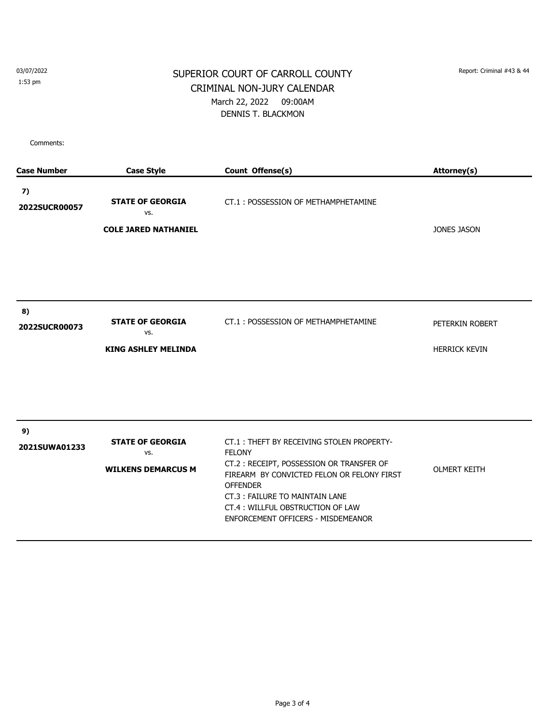03/07/2022 1:53 pm

## SUPERIOR COURT OF CARROLL COUNTY Report: Criminal #43 & 44 CRIMINAL NON-JURY CALENDAR March 22, 2022 09:00AM DENNIS T. BLACKMON

| <b>Case Number</b>  | <b>Case Style</b>                                             | Count Offense(s)                                                                                                                                                                                                                                                                    | Attorney(s)                             |
|---------------------|---------------------------------------------------------------|-------------------------------------------------------------------------------------------------------------------------------------------------------------------------------------------------------------------------------------------------------------------------------------|-----------------------------------------|
| 7)<br>2022SUCR00057 | <b>STATE OF GEORGIA</b><br>VS.<br><b>COLE JARED NATHANIEL</b> | CT.1: POSSESSION OF METHAMPHETAMINE                                                                                                                                                                                                                                                 | <b>JONES JASON</b>                      |
| 8)<br>2022SUCR00073 | <b>STATE OF GEORGIA</b><br>VS.<br><b>KING ASHLEY MELINDA</b>  | CT.1: POSSESSION OF METHAMPHETAMINE                                                                                                                                                                                                                                                 | PETERKIN ROBERT<br><b>HERRICK KEVIN</b> |
| 9)<br>2021SUWA01233 | <b>STATE OF GEORGIA</b><br>VS.<br><b>WILKENS DEMARCUS M</b>   | CT.1: THEFT BY RECEIVING STOLEN PROPERTY-<br><b>FELONY</b><br>CT.2: RECEIPT, POSSESSION OR TRANSFER OF<br>FIREARM BY CONVICTED FELON OR FELONY FIRST<br><b>OFFENDER</b><br>CT.3: FAILURE TO MAINTAIN LANE<br>CT.4: WILLFUL OBSTRUCTION OF LAW<br>ENFORCEMENT OFFICERS - MISDEMEANOR | <b>OLMERT KEITH</b>                     |